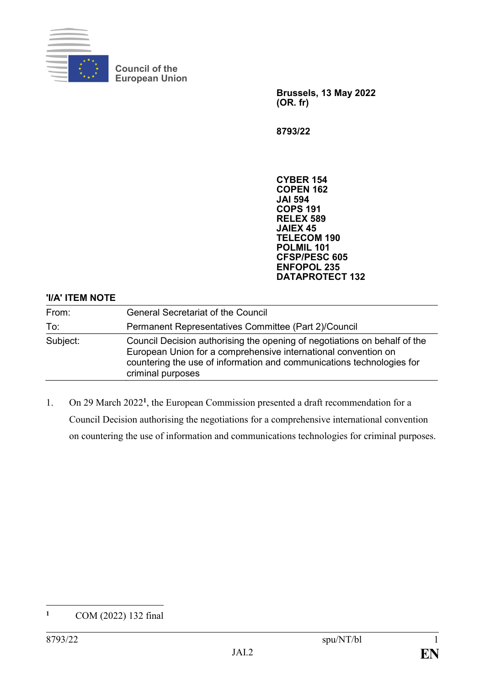

**Council of the European Union**

> **Brussels, 13 May 2022 (OR. fr)**

**8793/22**

**CYBER 154 COPEN 162 JAI 594 COPS 191 RELEX 589 JAIEX 45 TELECOM 190 POLMIL 101 CFSP/PESC 605 ENFOPOL 235 DATAPROTECT 132**

## **'I/A' ITEM NOTE**

| From:    | <b>General Secretariat of the Council</b>                                                                                                                                                                                                 |
|----------|-------------------------------------------------------------------------------------------------------------------------------------------------------------------------------------------------------------------------------------------|
| To:      | Permanent Representatives Committee (Part 2)/Council                                                                                                                                                                                      |
| Subject: | Council Decision authorising the opening of negotiations on behalf of the<br>European Union for a comprehensive international convention on<br>countering the use of information and communications technologies for<br>criminal purposes |

1. On 29 March 2022**<sup>1</sup>** , the European Commission presented a draft recommendation for a Council Decision authorising the negotiations for a comprehensive international convention on countering the use of information and communications technologies for criminal purposes.

 $\mathbf{1}$ **<sup>1</sup>** COM (2022) 132 final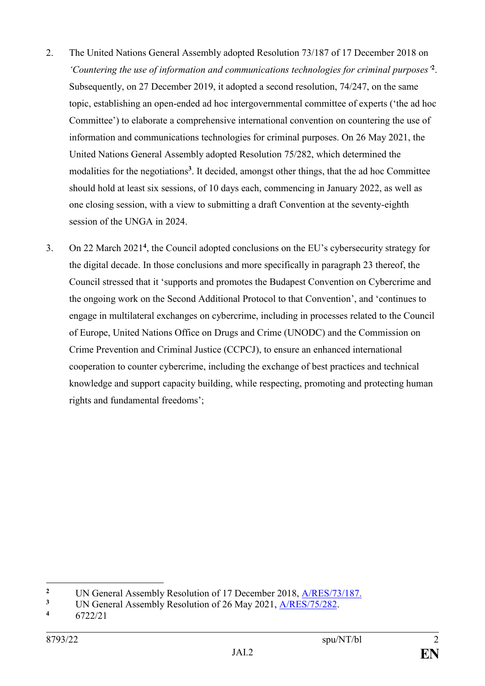- 2. The United Nations General Assembly adopted Resolution 73/187 of 17 December 2018 on *'Countering the use of information and communications technologies for criminal purposes'***<sup>2</sup>** . Subsequently, on 27 December 2019, it adopted a second resolution, 74/247, on the same topic, establishing an open-ended ad hoc intergovernmental committee of experts ('the ad hoc Committee') to elaborate a comprehensive international convention on countering the use of information and communications technologies for criminal purposes. On 26 May 2021, the United Nations General Assembly adopted Resolution 75/282, which determined the modalities for the negotiations**<sup>3</sup>** . It decided, amongst other things, that the ad hoc Committee should hold at least six sessions, of 10 days each, commencing in January 2022, as well as one closing session, with a view to submitting a draft Convention at the seventy-eighth session of the UNGA in 2024.
- 3. On 22 March 2021**<sup>4</sup>** , the Council adopted conclusions on the EU's cybersecurity strategy for the digital decade. In those conclusions and more specifically in paragraph 23 thereof, the Council stressed that it 'supports and promotes the Budapest Convention on Cybercrime and the ongoing work on the Second Additional Protocol to that Convention', and 'continues to engage in multilateral exchanges on cybercrime, including in processes related to the Council of Europe, United Nations Office on Drugs and Crime (UNODC) and the Commission on Crime Prevention and Criminal Justice (CCPCJ), to ensure an enhanced international cooperation to counter cybercrime, including the exchange of best practices and technical knowledge and support capacity building, while respecting, promoting and protecting human rights and fundamental freedoms';

1

<sup>&</sup>lt;sup>2</sup> UN General Assembly Resolution of 17 December 2018, <u>A/RES/73/187.</u><br><sup>3</sup> UN General Assembly Resolution of 26 May 2021, A/RES/75/282

<sup>&</sup>lt;sup>3</sup> UN General Assembly Resolution of 26 May 2021, <u>A/RES/75/282</u>.

**<sup>4</sup>** 6722/21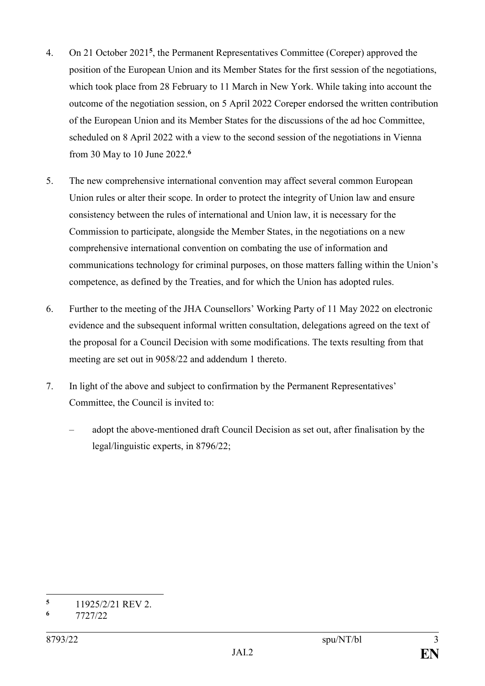- 4. On 21 October 2021**<sup>5</sup>** , the Permanent Representatives Committee (Coreper) approved the position of the European Union and its Member States for the first session of the negotiations, which took place from 28 February to 11 March in New York. While taking into account the outcome of the negotiation session, on 5 April 2022 Coreper endorsed the written contribution of the European Union and its Member States for the discussions of the ad hoc Committee, scheduled on 8 April 2022 with a view to the second session of the negotiations in Vienna from 30 May to 10 June 2022.**<sup>6</sup>**
- 5. The new comprehensive international convention may affect several common European Union rules or alter their scope. In order to protect the integrity of Union law and ensure consistency between the rules of international and Union law, it is necessary for the Commission to participate, alongside the Member States, in the negotiations on a new comprehensive international convention on combating the use of information and communications technology for criminal purposes, on those matters falling within the Union's competence, as defined by the Treaties, and for which the Union has adopted rules.
- 6. Further to the meeting of the JHA Counsellors' Working Party of 11 May 2022 on electronic evidence and the subsequent informal written consultation, delegations agreed on the text of the proposal for a Council Decision with some modifications. The texts resulting from that meeting are set out in 9058/22 and addendum 1 thereto.
- 7. In light of the above and subject to confirmation by the Permanent Representatives' Committee, the Council is invited to:
	- adopt the above-mentioned draft Council Decision as set out, after finalisation by the legal/linguistic experts, in 8796/22;

 $\overline{\mathbf{5}}$  $\frac{5}{6}$  11925/2/21 REV 2.

**<sup>6</sup>** 7727/22